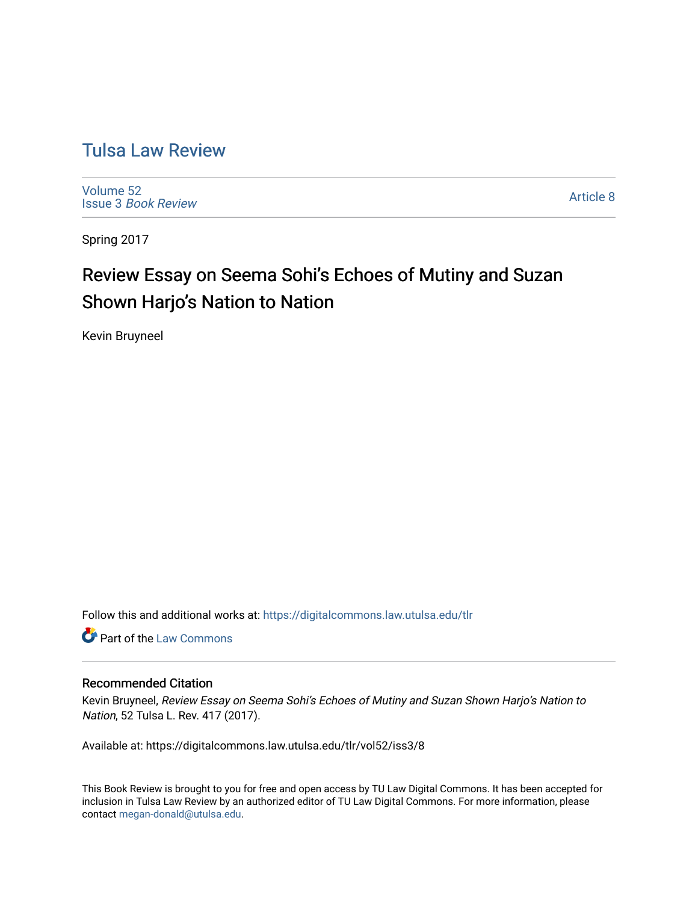# [Tulsa Law Review](https://digitalcommons.law.utulsa.edu/tlr)

[Volume 52](https://digitalcommons.law.utulsa.edu/tlr/vol52) Issue 3 [Book Review](https://digitalcommons.law.utulsa.edu/tlr/vol52/iss3)

[Article 8](https://digitalcommons.law.utulsa.edu/tlr/vol52/iss3/8) 

Spring 2017

# Review Essay on Seema Sohi's Echoes of Mutiny and Suzan Shown Harjo's Nation to Nation

Kevin Bruyneel

Follow this and additional works at: [https://digitalcommons.law.utulsa.edu/tlr](https://digitalcommons.law.utulsa.edu/tlr?utm_source=digitalcommons.law.utulsa.edu%2Ftlr%2Fvol52%2Fiss3%2F8&utm_medium=PDF&utm_campaign=PDFCoverPages) 

Part of the [Law Commons](http://network.bepress.com/hgg/discipline/578?utm_source=digitalcommons.law.utulsa.edu%2Ftlr%2Fvol52%2Fiss3%2F8&utm_medium=PDF&utm_campaign=PDFCoverPages)

## Recommended Citation

Kevin Bruyneel, Review Essay on Seema Sohi's Echoes of Mutiny and Suzan Shown Harjo's Nation to Nation, 52 Tulsa L. Rev. 417 (2017).

Available at: https://digitalcommons.law.utulsa.edu/tlr/vol52/iss3/8

This Book Review is brought to you for free and open access by TU Law Digital Commons. It has been accepted for inclusion in Tulsa Law Review by an authorized editor of TU Law Digital Commons. For more information, please contact [megan-donald@utulsa.edu.](mailto:megan-donald@utulsa.edu)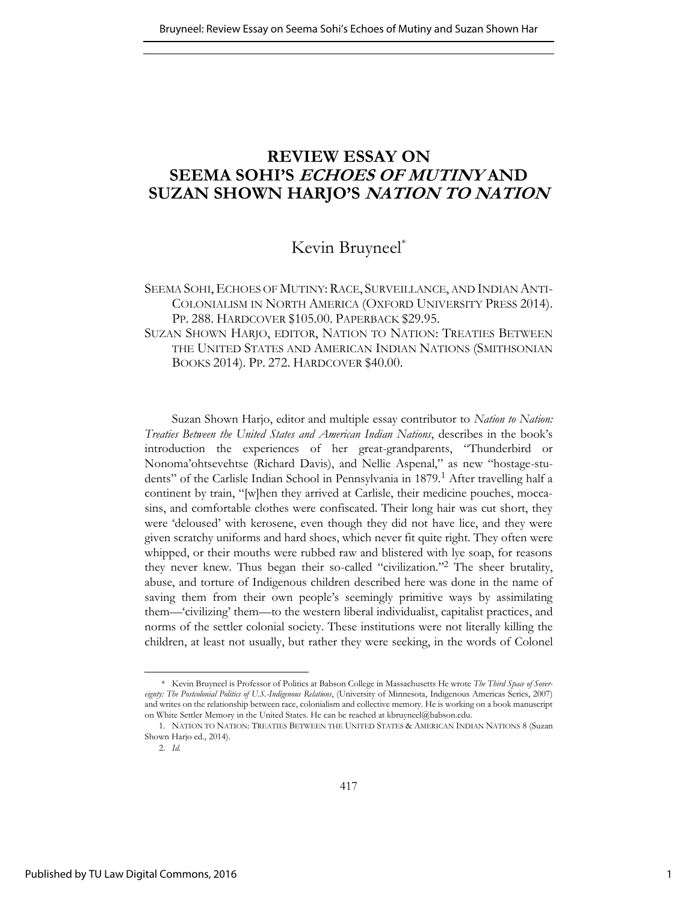# **REVIEW ESSAY ON SEEMA SOHI'S ECHOES OF MUTINY AND SUZAN SHOWN HARJO'S NATION TO NATION**

## Kevin Bruyneel\*

## SEEMA SOHI, ECHOES OF MUTINY: RACE, SURVEILLANCE, AND INDIAN ANTI-COLONIALISM IN NORTH AMERICA (OXFORD UNIVERSITY PRESS 2014). PP. 288. HARDCOVER \$105.00. PAPERBACK \$29.95.

SUZAN SHOWN HARJO, EDITOR, NATION TO NATION: TREATIES BETWEEN THE UNITED STATES AND AMERICAN INDIAN NATIONS (SMITHSONIAN BOOKS 2014). PP. 272. HARDCOVER \$40.00.

Suzan Shown Harjo, editor and multiple essay contributor to *Nation to Nation*: *Treaties Between the United States and American Indian Nations*, describes in the book's introduction the experiences of her great-grandparents, "Thunderbird or Nonoma'ohtsevehtse (Richard Davis), and Nellie Aspenal," as new "hostage-students" of the Carlisle Indian School in Pennsylvania in 1879.<sup>1</sup> After travelling half a continent by train, "[w]hen they arrived at Carlisle, their medicine pouches, moccasins, and comfortable clothes were confiscated. Their long hair was cut short, they were 'deloused' with kerosene, even though they did not have lice, and they were given scratchy uniforms and hard shoes, which never fit quite right. They often were whipped, or their mouths were rubbed raw and blistered with lye soap, for reasons they never knew. Thus began their so-called "civilization."<sup>2</sup> The sheer brutality, abuse, and torture of Indigenous children described here was done in the name of saving them from their own people's seemingly primitive ways by assimilating them—'civilizing' them—to the western liberal individualist, capitalist practices, and norms of the settler colonial society. These institutions were not literally killing the children, at least not usually, but rather they were seeking, in the words of Colonel

<sup>\*</sup> Kevin Bruyneel is Professor of Politics at Babson College in Massachusetts He wrote *The Third Space of Sovereignty: The Postcolonial Politics of U.S.-Indigenous Relations*, (University of Minnesota, Indigenous Americas Series, 2007) and writes on the relationship between race, colonialism and collective memory. He is working on a book manuscript on White Settler Memory in the United States. He can be reached at kbruyneel@babson.edu.

<sup>1.</sup> NATION TO NATION: TREATIES BETWEEN THE UNITED STATES & AMERICAN INDIAN NATIONS 8 (Suzan Shown Harjo ed., 2014).

<sup>2.</sup> *Id.*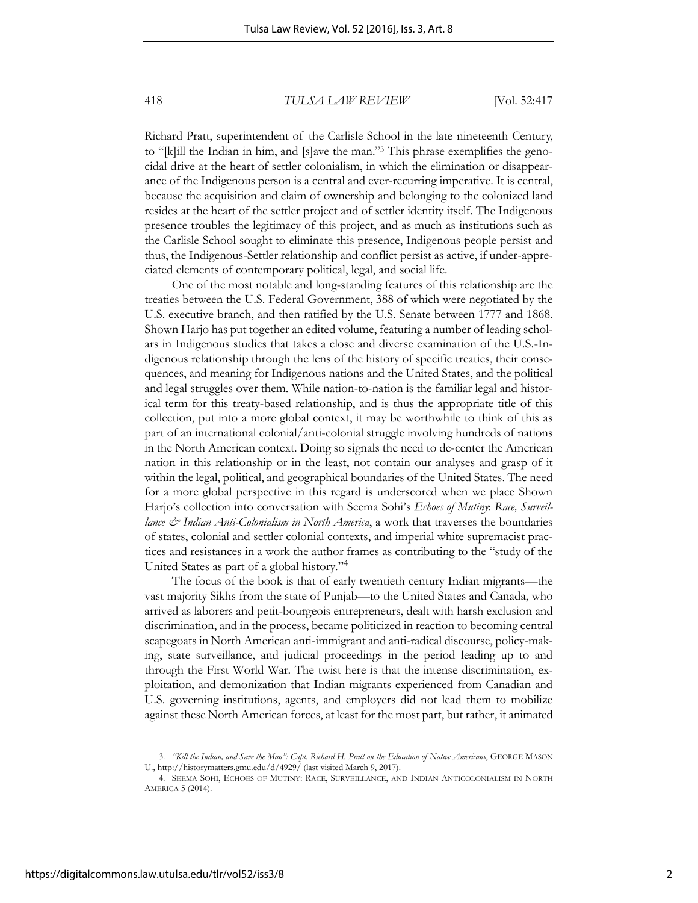Richard Pratt, superintendent of the Carlisle School in the late nineteenth Century, to "[k]ill the Indian in him, and [s]ave the man."<sup>3</sup> This phrase exemplifies the genocidal drive at the heart of settler colonialism, in which the elimination or disappearance of the Indigenous person is a central and ever-recurring imperative. It is central, because the acquisition and claim of ownership and belonging to the colonized land resides at the heart of the settler project and of settler identity itself. The Indigenous presence troubles the legitimacy of this project, and as much as institutions such as the Carlisle School sought to eliminate this presence, Indigenous people persist and thus, the Indigenous-Settler relationship and conflict persist as active, if under-appreciated elements of contemporary political, legal, and social life.

One of the most notable and long-standing features of this relationship are the treaties between the U.S. Federal Government, 388 of which were negotiated by the U.S. executive branch, and then ratified by the U.S. Senate between 1777 and 1868. Shown Harjo has put together an edited volume, featuring a number of leading scholars in Indigenous studies that takes a close and diverse examination of the U.S.-Indigenous relationship through the lens of the history of specific treaties, their consequences, and meaning for Indigenous nations and the United States, and the political and legal struggles over them. While nation-to-nation is the familiar legal and historical term for this treaty-based relationship, and is thus the appropriate title of this collection, put into a more global context, it may be worthwhile to think of this as part of an international colonial/anti-colonial struggle involving hundreds of nations in the North American context. Doing so signals the need to de-center the American nation in this relationship or in the least, not contain our analyses and grasp of it within the legal, political, and geographical boundaries of the United States. The need for a more global perspective in this regard is underscored when we place Shown Harjo's collection into conversation with Seema Sohi's *Echoes of Mutiny*: *Race, Surveillance & Indian Anti-Colonialism in North America*, a work that traverses the boundaries of states, colonial and settler colonial contexts, and imperial white supremacist practices and resistances in a work the author frames as contributing to the "study of the United States as part of a global history."<sup>4</sup>

The focus of the book is that of early twentieth century Indian migrants—the vast majority Sikhs from the state of Punjab—to the United States and Canada, who arrived as laborers and petit-bourgeois entrepreneurs, dealt with harsh exclusion and discrimination, and in the process, became politicized in reaction to becoming central scapegoats in North American anti-immigrant and anti-radical discourse, policy-making, state surveillance, and judicial proceedings in the period leading up to and through the First World War. The twist here is that the intense discrimination, exploitation, and demonization that Indian migrants experienced from Canadian and U.S. governing institutions, agents, and employers did not lead them to mobilize against these North American forces, at least for the most part, but rather, it animated

<sup>3.</sup> *"Kill the Indian, and Save the Man": Capt. Richard H. Pratt on the Education of Native Americans*, GEORGE MASON U., http://historymatters.gmu.edu/d/4929/ (last visited March 9, 2017).

<sup>4.</sup> SEEMA SOHI, ECHOES OF MUTINY: RACE, SURVEILLANCE, AND INDIAN ANTICOLONIALISM IN NORTH AMERICA 5 (2014).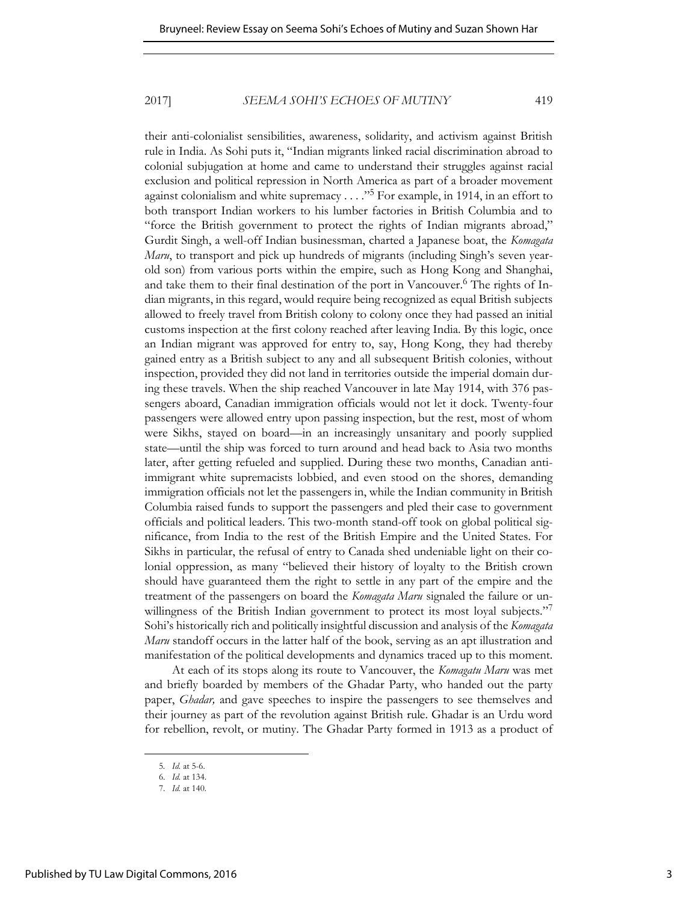their anti-colonialist sensibilities, awareness, solidarity, and activism against British rule in India. As Sohi puts it, "Indian migrants linked racial discrimination abroad to colonial subjugation at home and came to understand their struggles against racial exclusion and political repression in North America as part of a broader movement against colonialism and white supremacy . . . . "<sup>5</sup> For example, in 1914, in an effort to both transport Indian workers to his lumber factories in British Columbia and to "force the British government to protect the rights of Indian migrants abroad," Gurdit Singh, a well-off Indian businessman, charted a Japanese boat, the *Komagata Maru*, to transport and pick up hundreds of migrants (including Singh's seven yearold son) from various ports within the empire, such as Hong Kong and Shanghai, and take them to their final destination of the port in Vancouver.<sup>6</sup> The rights of Indian migrants, in this regard, would require being recognized as equal British subjects allowed to freely travel from British colony to colony once they had passed an initial customs inspection at the first colony reached after leaving India. By this logic, once an Indian migrant was approved for entry to, say, Hong Kong, they had thereby gained entry as a British subject to any and all subsequent British colonies, without inspection, provided they did not land in territories outside the imperial domain during these travels. When the ship reached Vancouver in late May 1914, with 376 passengers aboard, Canadian immigration officials would not let it dock. Twenty-four passengers were allowed entry upon passing inspection, but the rest, most of whom were Sikhs, stayed on board—in an increasingly unsanitary and poorly supplied state—until the ship was forced to turn around and head back to Asia two months later, after getting refueled and supplied. During these two months, Canadian antiimmigrant white supremacists lobbied, and even stood on the shores, demanding immigration officials not let the passengers in, while the Indian community in British Columbia raised funds to support the passengers and pled their case to government officials and political leaders. This two-month stand-off took on global political significance, from India to the rest of the British Empire and the United States. For Sikhs in particular, the refusal of entry to Canada shed undeniable light on their colonial oppression, as many "believed their history of loyalty to the British crown should have guaranteed them the right to settle in any part of the empire and the treatment of the passengers on board the *Komagata Maru* signaled the failure or unwillingness of the British Indian government to protect its most loyal subjects." Sohi's historically rich and politically insightful discussion and analysis of the *Komagata Maru* standoff occurs in the latter half of the book, serving as an apt illustration and manifestation of the political developments and dynamics traced up to this moment.

At each of its stops along its route to Vancouver, the *Komagatu Maru* was met and briefly boarded by members of the Ghadar Party, who handed out the party paper, *Ghadar,* and gave speeches to inspire the passengers to see themselves and their journey as part of the revolution against British rule. Ghadar is an Urdu word for rebellion, revolt, or mutiny. The Ghadar Party formed in 1913 as a product of

<sup>5</sup>*. Id.* at 5-6.

<sup>6.</sup> *Id.* at 134.

<sup>7.</sup> *Id.* at 140.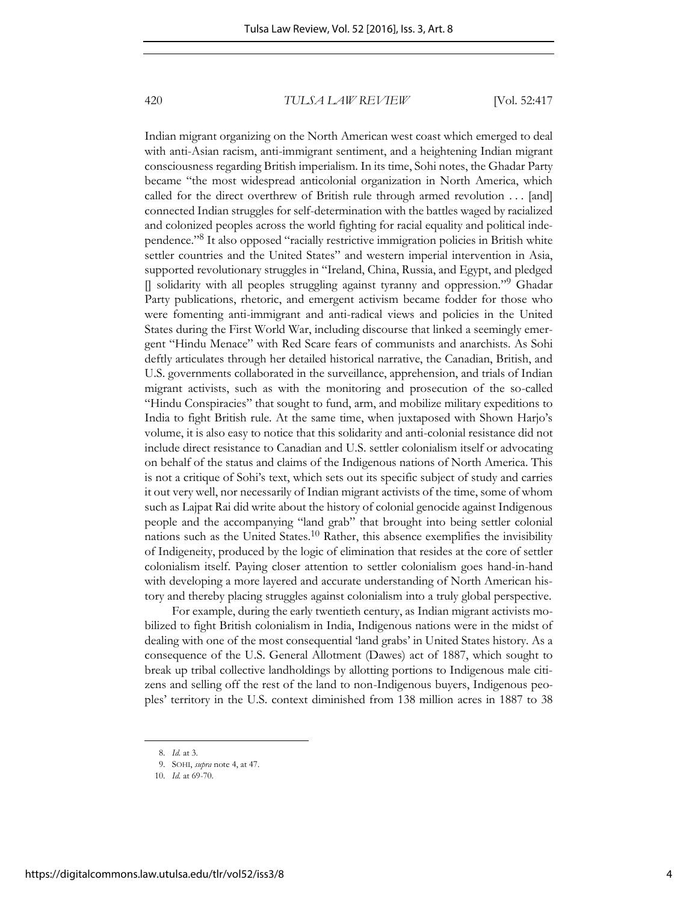Indian migrant organizing on the North American west coast which emerged to deal with anti-Asian racism, anti-immigrant sentiment, and a heightening Indian migrant consciousness regarding British imperialism. In its time, Sohi notes, the Ghadar Party became "the most widespread anticolonial organization in North America, which called for the direct overthrew of British rule through armed revolution . . . [and] connected Indian struggles for self-determination with the battles waged by racialized and colonized peoples across the world fighting for racial equality and political independence."<sup>8</sup> It also opposed "racially restrictive immigration policies in British white settler countries and the United States" and western imperial intervention in Asia, supported revolutionary struggles in "Ireland, China, Russia, and Egypt, and pledged [] solidarity with all peoples struggling against tyranny and oppression."<sup>9</sup> Ghadar Party publications, rhetoric, and emergent activism became fodder for those who were fomenting anti-immigrant and anti-radical views and policies in the United States during the First World War, including discourse that linked a seemingly emergent "Hindu Menace" with Red Scare fears of communists and anarchists. As Sohi deftly articulates through her detailed historical narrative, the Canadian, British, and U.S. governments collaborated in the surveillance, apprehension, and trials of Indian migrant activists, such as with the monitoring and prosecution of the so-called "Hindu Conspiracies" that sought to fund, arm, and mobilize military expeditions to India to fight British rule. At the same time, when juxtaposed with Shown Harjo's volume, it is also easy to notice that this solidarity and anti-colonial resistance did not include direct resistance to Canadian and U.S. settler colonialism itself or advocating on behalf of the status and claims of the Indigenous nations of North America. This is not a critique of Sohi's text, which sets out its specific subject of study and carries it out very well, nor necessarily of Indian migrant activists of the time, some of whom such as Lajpat Rai did write about the history of colonial genocide against Indigenous people and the accompanying "land grab" that brought into being settler colonial nations such as the United States.10 Rather, this absence exemplifies the invisibility of Indigeneity, produced by the logic of elimination that resides at the core of settler colonialism itself. Paying closer attention to settler colonialism goes hand-in-hand with developing a more layered and accurate understanding of North American history and thereby placing struggles against colonialism into a truly global perspective.

For example, during the early twentieth century, as Indian migrant activists mobilized to fight British colonialism in India, Indigenous nations were in the midst of dealing with one of the most consequential 'land grabs' in United States history. As a consequence of the U.S. General Allotment (Dawes) act of 1887, which sought to break up tribal collective landholdings by allotting portions to Indigenous male citizens and selling off the rest of the land to non-Indigenous buyers, Indigenous peoples' territory in the U.S. context diminished from 138 million acres in 1887 to 38

<sup>8.</sup> *Id.* at 3.

<sup>9.</sup> SOHI, *supra* note 4, at 47.

<sup>10.</sup> *Id.* at 69-70.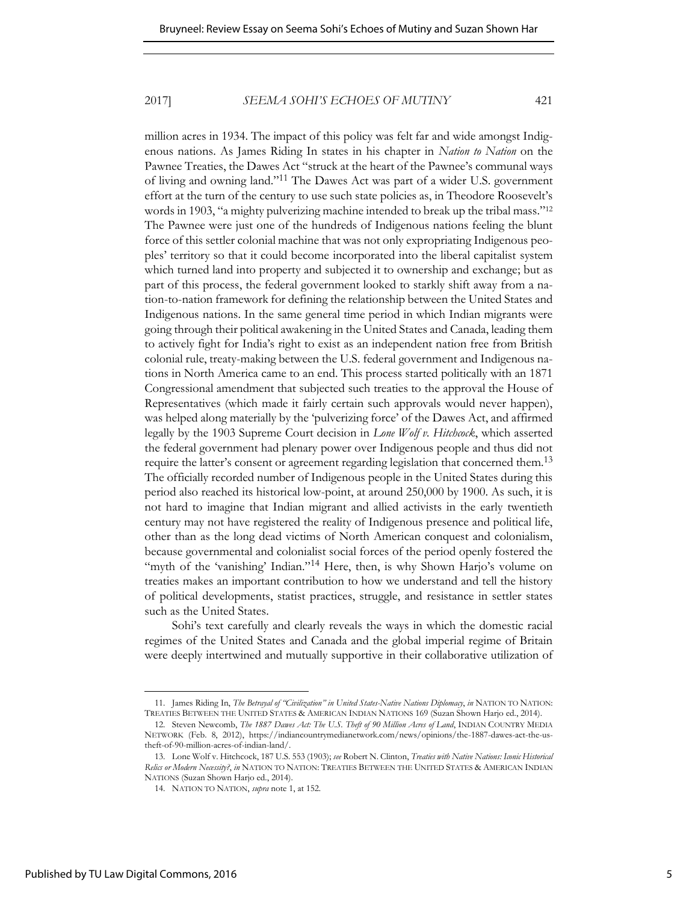million acres in 1934. The impact of this policy was felt far and wide amongst Indigenous nations. As James Riding In states in his chapter in *Nation to Nation* on the Pawnee Treaties, the Dawes Act "struck at the heart of the Pawnee's communal ways of living and owning land."11 The Dawes Act was part of a wider U.S. government effort at the turn of the century to use such state policies as, in Theodore Roosevelt's words in 1903, "a mighty pulverizing machine intended to break up the tribal mass."<sup>12</sup> The Pawnee were just one of the hundreds of Indigenous nations feeling the blunt force of this settler colonial machine that was not only expropriating Indigenous peoples' territory so that it could become incorporated into the liberal capitalist system which turned land into property and subjected it to ownership and exchange; but as part of this process, the federal government looked to starkly shift away from a nation-to-nation framework for defining the relationship between the United States and Indigenous nations. In the same general time period in which Indian migrants were going through their political awakening in the United States and Canada, leading them to actively fight for India's right to exist as an independent nation free from British colonial rule, treaty-making between the U.S. federal government and Indigenous nations in North America came to an end. This process started politically with an 1871 Congressional amendment that subjected such treaties to the approval the House of Representatives (which made it fairly certain such approvals would never happen), was helped along materially by the 'pulverizing force' of the Dawes Act, and affirmed legally by the 1903 Supreme Court decision in *Lone Wolf v. Hitchcock*, which asserted the federal government had plenary power over Indigenous people and thus did not require the latter's consent or agreement regarding legislation that concerned them.<sup>13</sup> The officially recorded number of Indigenous people in the United States during this period also reached its historical low-point, at around 250,000 by 1900. As such, it is not hard to imagine that Indian migrant and allied activists in the early twentieth century may not have registered the reality of Indigenous presence and political life, other than as the long dead victims of North American conquest and colonialism, because governmental and colonialist social forces of the period openly fostered the "myth of the 'vanishing' Indian."<sup>14</sup> Here, then, is why Shown Harjo's volume on treaties makes an important contribution to how we understand and tell the history of political developments, statist practices, struggle, and resistance in settler states such as the United States.

Sohi's text carefully and clearly reveals the ways in which the domestic racial regimes of the United States and Canada and the global imperial regime of Britain were deeply intertwined and mutually supportive in their collaborative utilization of

<sup>11.</sup> James Riding In, *The Betrayal of "Civilization" in United States-Native Nations Diplomacy*, *in* NATION TO NATION: TREATIES BETWEEN THE UNITED STATES & AMERICAN INDIAN NATIONS 169 (Suzan Shown Harjo ed., 2014).

<sup>12.</sup> Steven Newcomb, *The 1887 Dawes Act: The U.S. Theft of 90 Million Acres of Land*, INDIAN COUNTRY MEDIA NETWORK (Feb. 8, 2012), https://indiancountrymedianetwork.com/news/opinions/the-1887-dawes-act-the-ustheft-of-90-million-acres-of-indian-land/.

<sup>13.</sup> Lone Wolf v. Hitchcock, 187 U.S. 553 (1903); *see* Robert N. Clinton, *Treaties with Native Nations: Iconic Historical Relics or Modern Necessity?*, *in* NATION TO NATION: TREATIES BETWEEN THE UNITED STATES & AMERICAN INDIAN NATIONS (Suzan Shown Harjo ed., 2014).

<sup>14.</sup> NATION TO NATION, *supra* note 1, at 152.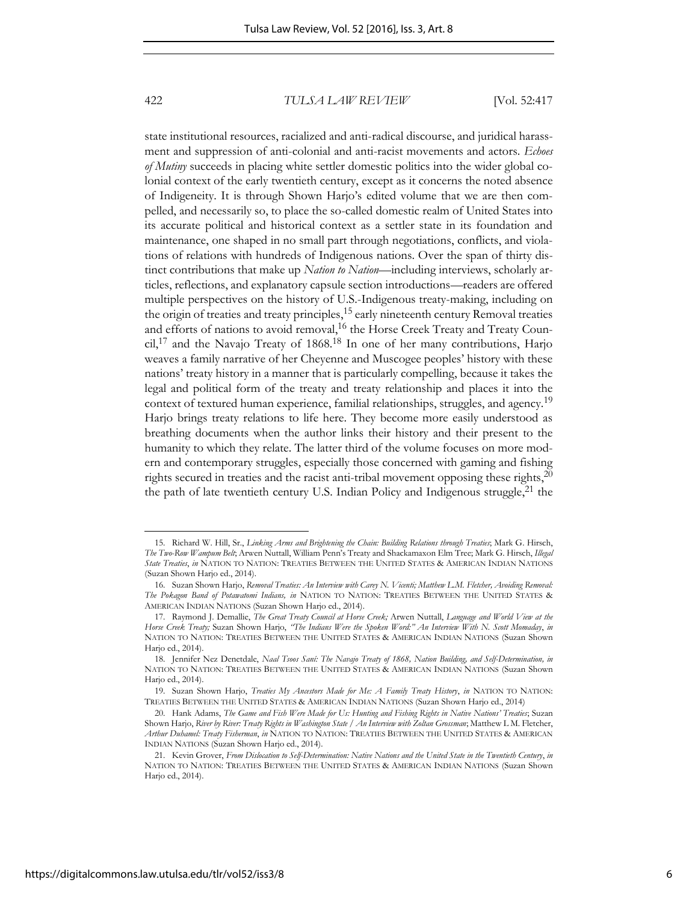state institutional resources, racialized and anti-radical discourse, and juridical harassment and suppression of anti-colonial and anti-racist movements and actors. *Echoes of Mutiny* succeeds in placing white settler domestic politics into the wider global colonial context of the early twentieth century, except as it concerns the noted absence of Indigeneity. It is through Shown Harjo's edited volume that we are then compelled, and necessarily so, to place the so-called domestic realm of United States into its accurate political and historical context as a settler state in its foundation and maintenance, one shaped in no small part through negotiations, conflicts, and violations of relations with hundreds of Indigenous nations. Over the span of thirty distinct contributions that make up *Nation to Nation*—including interviews, scholarly articles, reflections, and explanatory capsule section introductions—readers are offered multiple perspectives on the history of U.S.-Indigenous treaty-making, including on the origin of treaties and treaty principles,<sup>15</sup> early nineteenth century Removal treaties and efforts of nations to avoid removal,<sup>16</sup> the Horse Creek Treaty and Treaty Coun- $\text{cil},^{17}$  and the Navajo Treaty of 1868.<sup>18</sup> In one of her many contributions, Harjo weaves a family narrative of her Cheyenne and Muscogee peoples' history with these nations' treaty history in a manner that is particularly compelling, because it takes the legal and political form of the treaty and treaty relationship and places it into the context of textured human experience, familial relationships, struggles, and agency.<sup>19</sup> Harjo brings treaty relations to life here. They become more easily understood as breathing documents when the author links their history and their present to the humanity to which they relate. The latter third of the volume focuses on more modern and contemporary struggles, especially those concerned with gaming and fishing rights secured in treaties and the racist anti-tribal movement opposing these rights, $^{20}$ the path of late twentieth century U.S. Indian Policy and Indigenous struggle, $^{21}$  the

<sup>15.</sup> Richard W. Hill, Sr., *Linking Arms and Brightening the Chain: Building Relations through Treaties*; Mark G. Hirsch, *The Two-Row Wampum Belt*; Arwen Nuttall, William Penn's Treaty and Shackamaxon Elm Tree; Mark G. Hirsch, *Illegal State Treaties*, *in* NATION TO NATION: TREATIES BETWEEN THE UNITED STATES & AMERICAN INDIAN NATIONS (Suzan Shown Harjo ed., 2014).

<sup>16.</sup> Suzan Shown Harjo, *Removal Treaties: An Interview with Carey N. Vicenti; Matthew L.M. Fletcher, Avoiding Removal: The Pokagon Band of Potawatomi Indians, in* NATION TO NATION: TREATIES BETWEEN THE UNITED STATES & AMERICAN INDIAN NATIONS (Suzan Shown Harjo ed., 2014).

<sup>17.</sup> Raymond J. Demallie, *The Great Treaty Council at Horse Creek;* Arwen Nuttall, *Language and World View at the Horse Creek Treaty;* Suzan Shown Harjo, *"The Indians Were the Spoken Word:" An Interview With N. Scott Momaday*, *in* NATION TO NATION: TREATIES BETWEEN THE UNITED STATES & AMERICAN INDIAN NATIONS (Suzan Shown Harjo ed., 2014).

<sup>18.</sup> Jennifer Nez Denetdale, *Naal Tsoos Saní: The Navajo Treaty of 1868, Nation Building, and Self-Determination, in* NATION TO NATION: TREATIES BETWEEN THE UNITED STATES & AMERICAN INDIAN NATIONS (Suzan Shown Harjo ed., 2014).

<sup>19.</sup> Suzan Shown Harjo, *Treaties My Ancestors Made for Me: A Family Treaty History*, *in* NATION TO NATION: TREATIES BETWEEN THE UNITED STATES & AMERICAN INDIAN NATIONS (Suzan Shown Harjo ed., 2014)

<sup>20.</sup> Hank Adams, *The Game and Fish Were Made for Us: Hunting and Fishing Rights in Native Nations' Treaties*; Suzan Shown Harjo, *River by River: Treaty Rights in Washington State / An Interview with Zoltan Grossman*; Matthew L M. Fletcher, *Arthur Duhamel: Treaty Fisherman*, *in* NATION TO NATION: TREATIES BETWEEN THE UNITED STATES & AMERICAN INDIAN NATIONS (Suzan Shown Harjo ed., 2014).

<sup>21.</sup> Kevin Grover, *From Dislocation to Self-Determination: Native Nations and the United State in the Twentieth Century*, *in* NATION TO NATION: TREATIES BETWEEN THE UNITED STATES & AMERICAN INDIAN NATIONS (Suzan Shown Harjo ed., 2014).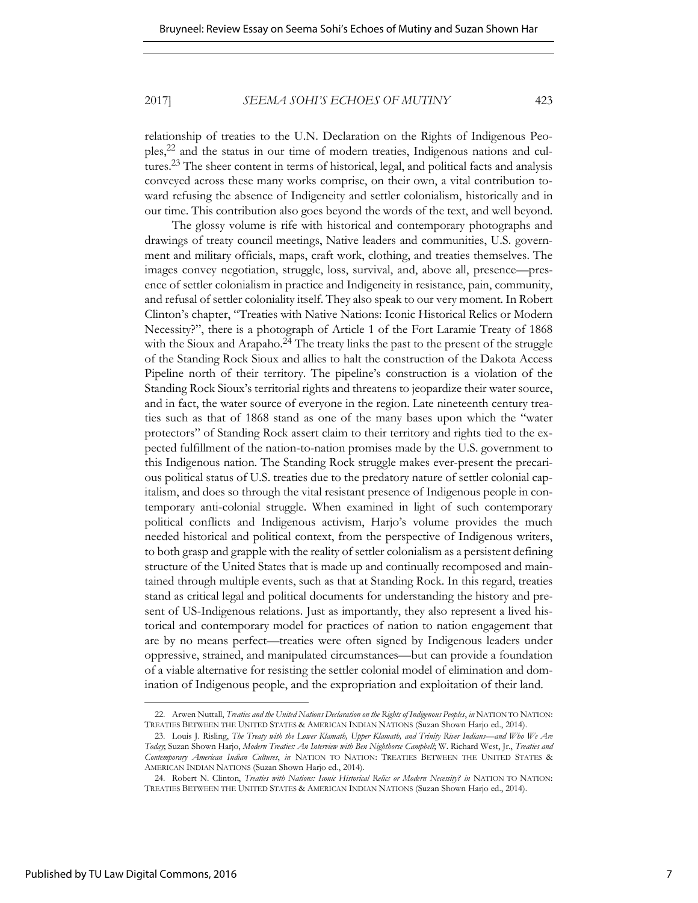relationship of treaties to the U.N. Declaration on the Rights of Indigenous Peoples,22 and the status in our time of modern treaties, Indigenous nations and cultures.23 The sheer content in terms of historical, legal, and political facts and analysis conveyed across these many works comprise, on their own, a vital contribution toward refusing the absence of Indigeneity and settler colonialism, historically and in our time. This contribution also goes beyond the words of the text, and well beyond.

The glossy volume is rife with historical and contemporary photographs and drawings of treaty council meetings, Native leaders and communities, U.S. government and military officials, maps, craft work, clothing, and treaties themselves. The images convey negotiation, struggle, loss, survival, and, above all, presence—presence of settler colonialism in practice and Indigeneity in resistance, pain, community, and refusal of settler coloniality itself. They also speak to our very moment. In Robert Clinton's chapter, "Treaties with Native Nations: Iconic Historical Relics or Modern Necessity?", there is a photograph of Article 1 of the Fort Laramie Treaty of 1868 with the Sioux and Arapaho.<sup>24</sup> The treaty links the past to the present of the struggle of the Standing Rock Sioux and allies to halt the construction of the Dakota Access Pipeline north of their territory. The pipeline's construction is a violation of the Standing Rock Sioux's territorial rights and threatens to jeopardize their water source, and in fact, the water source of everyone in the region. Late nineteenth century treaties such as that of 1868 stand as one of the many bases upon which the "water protectors" of Standing Rock assert claim to their territory and rights tied to the expected fulfillment of the nation-to-nation promises made by the U.S. government to this Indigenous nation. The Standing Rock struggle makes ever-present the precarious political status of U.S. treaties due to the predatory nature of settler colonial capitalism, and does so through the vital resistant presence of Indigenous people in contemporary anti-colonial struggle. When examined in light of such contemporary political conflicts and Indigenous activism, Harjo's volume provides the much needed historical and political context, from the perspective of Indigenous writers, to both grasp and grapple with the reality of settler colonialism as a persistent defining structure of the United States that is made up and continually recomposed and maintained through multiple events, such as that at Standing Rock. In this regard, treaties stand as critical legal and political documents for understanding the history and present of US-Indigenous relations. Just as importantly, they also represent a lived historical and contemporary model for practices of nation to nation engagement that are by no means perfect—treaties were often signed by Indigenous leaders under oppressive, strained, and manipulated circumstances—but can provide a foundation of a viable alternative for resisting the settler colonial model of elimination and domination of Indigenous people, and the expropriation and exploitation of their land.

<sup>22.</sup> Arwen Nuttall, *Treaties and the United Nations Declaration on the Rights of Indigenous Peoples*, *in* NATION TO NATION: TREATIES BETWEEN THE UNITED STATES & AMERICAN INDIAN NATIONS (Suzan Shown Harjo ed., 2014).

<sup>23.</sup> Louis J. Risling, *The Treaty with the Lower Klamath, Upper Klamath, and Trinity River Indians—and Who We Are Today*; Suzan Shown Harjo, *Modern Treaties: An Interview with Ben Nighthorse Campbell*; W. Richard West, Jr., *Treaties and Contemporary American Indian Cultures*, *in* NATION TO NATION: TREATIES BETWEEN THE UNITED STATES & AMERICAN INDIAN NATIONS (Suzan Shown Harjo ed., 2014).

<sup>24.</sup> Robert N. Clinton, *Treaties with Nations: Iconic Historical Relics or Modern Necessity? in* NATION TO NATION: TREATIES BETWEEN THE UNITED STATES & AMERICAN INDIAN NATIONS (Suzan Shown Harjo ed., 2014).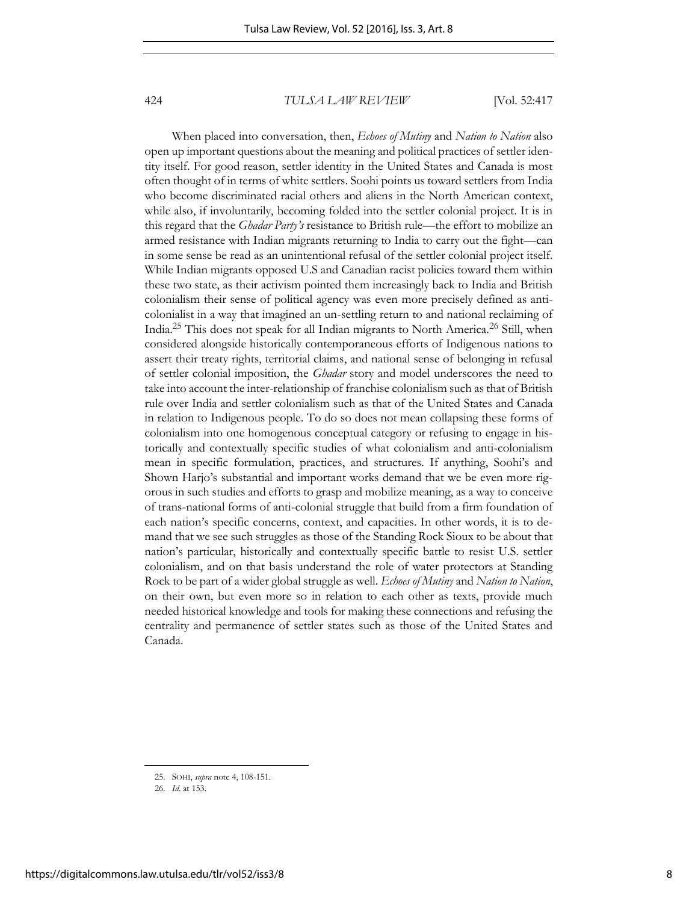When placed into conversation, then, *Echoes of Mutiny* and *Nation to Nation* also open up important questions about the meaning and political practices of settler identity itself. For good reason, settler identity in the United States and Canada is most often thought of in terms of white settlers. Soohi points us toward settlers from India who become discriminated racial others and aliens in the North American context, while also, if involuntarily, becoming folded into the settler colonial project. It is in this regard that the *Ghadar Party's* resistance to British rule—the effort to mobilize an armed resistance with Indian migrants returning to India to carry out the fight—can in some sense be read as an unintentional refusal of the settler colonial project itself. While Indian migrants opposed U.S and Canadian racist policies toward them within these two state, as their activism pointed them increasingly back to India and British colonialism their sense of political agency was even more precisely defined as anticolonialist in a way that imagined an un-settling return to and national reclaiming of India.25 This does not speak for all Indian migrants to North America.26 Still, when considered alongside historically contemporaneous efforts of Indigenous nations to assert their treaty rights, territorial claims, and national sense of belonging in refusal of settler colonial imposition, the *Ghadar* story and model underscores the need to take into account the inter-relationship of franchise colonialism such as that of British rule over India and settler colonialism such as that of the United States and Canada in relation to Indigenous people. To do so does not mean collapsing these forms of colonialism into one homogenous conceptual category or refusing to engage in historically and contextually specific studies of what colonialism and anti-colonialism mean in specific formulation, practices, and structures. If anything, Soohi's and Shown Harjo's substantial and important works demand that we be even more rigorous in such studies and efforts to grasp and mobilize meaning, as a way to conceive of trans-national forms of anti-colonial struggle that build from a firm foundation of each nation's specific concerns, context, and capacities. In other words, it is to demand that we see such struggles as those of the Standing Rock Sioux to be about that nation's particular, historically and contextually specific battle to resist U.S. settler colonialism, and on that basis understand the role of water protectors at Standing Rock to be part of a wider global struggle as well. *Echoes of Mutiny* and *Nation to Nation*, on their own, but even more so in relation to each other as texts, provide much needed historical knowledge and tools for making these connections and refusing the centrality and permanence of settler states such as those of the United States and Canada.

<sup>25.</sup> SOHI, *supra* note 4, 108-151.

<sup>26.</sup> *Id*. at 153.